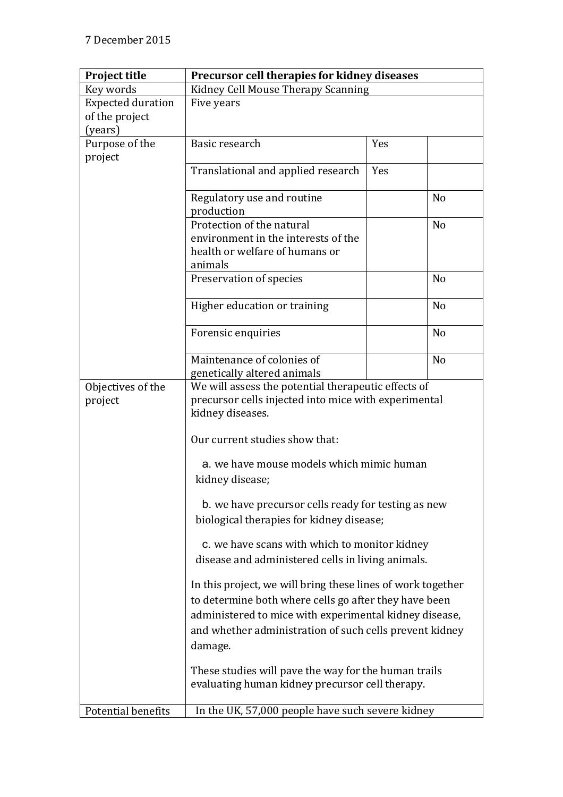| <b>Project title</b>     | Precursor cell therapies for kidney diseases                                                            |     |                |
|--------------------------|---------------------------------------------------------------------------------------------------------|-----|----------------|
| Key words                | Kidney Cell Mouse Therapy Scanning                                                                      |     |                |
| <b>Expected duration</b> | Five years                                                                                              |     |                |
| of the project           |                                                                                                         |     |                |
| (years)                  |                                                                                                         |     |                |
| Purpose of the           | Basic research                                                                                          | Yes |                |
| project                  |                                                                                                         |     |                |
|                          | Translational and applied research                                                                      | Yes |                |
|                          | Regulatory use and routine                                                                              |     | N <sub>o</sub> |
|                          | production                                                                                              |     |                |
|                          | Protection of the natural                                                                               |     | N <sub>o</sub> |
|                          | environment in the interests of the                                                                     |     |                |
|                          | health or welfare of humans or                                                                          |     |                |
|                          | animals                                                                                                 |     |                |
|                          | Preservation of species                                                                                 |     | N <sub>o</sub> |
|                          | Higher education or training                                                                            |     | N <sub>o</sub> |
|                          | Forensic enquiries                                                                                      |     | N <sub>o</sub> |
|                          | Maintenance of colonies of                                                                              |     | N <sub>o</sub> |
|                          | genetically altered animals                                                                             |     |                |
| Objectives of the        | We will assess the potential therapeutic effects of                                                     |     |                |
| project                  | precursor cells injected into mice with experimental<br>kidney diseases.                                |     |                |
|                          | Our current studies show that:                                                                          |     |                |
|                          | a. we have mouse models which mimic human<br>kidney disease;                                            |     |                |
|                          | b. we have precursor cells ready for testing as new<br>biological therapies for kidney disease;         |     |                |
|                          |                                                                                                         |     |                |
|                          | c. we have scans with which to monitor kidney<br>disease and administered cells in living animals.      |     |                |
|                          | In this project, we will bring these lines of work together                                             |     |                |
|                          | to determine both where cells go after they have been                                                   |     |                |
|                          | administered to mice with experimental kidney disease,                                                  |     |                |
|                          | and whether administration of such cells prevent kidney                                                 |     |                |
|                          | damage.                                                                                                 |     |                |
|                          |                                                                                                         |     |                |
|                          | These studies will pave the way for the human trails<br>evaluating human kidney precursor cell therapy. |     |                |
| Potential benefits       | In the UK, 57,000 people have such severe kidney                                                        |     |                |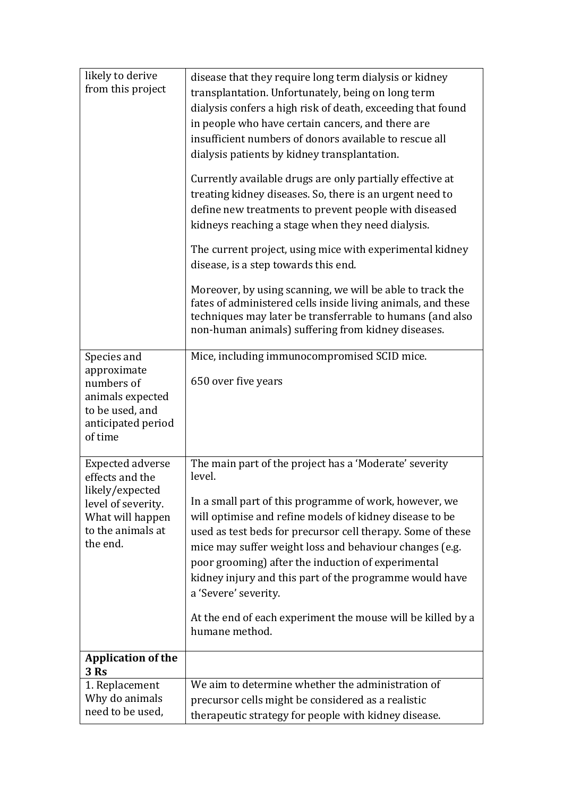| likely to derive<br>from this project | disease that they require long term dialysis or kidney                                                                    |  |
|---------------------------------------|---------------------------------------------------------------------------------------------------------------------------|--|
|                                       | transplantation. Unfortunately, being on long term                                                                        |  |
|                                       | dialysis confers a high risk of death, exceeding that found                                                               |  |
|                                       | in people who have certain cancers, and there are                                                                         |  |
|                                       | insufficient numbers of donors available to rescue all                                                                    |  |
|                                       | dialysis patients by kidney transplantation.                                                                              |  |
|                                       | Currently available drugs are only partially effective at                                                                 |  |
|                                       | treating kidney diseases. So, there is an urgent need to                                                                  |  |
|                                       | define new treatments to prevent people with diseased                                                                     |  |
|                                       | kidneys reaching a stage when they need dialysis.                                                                         |  |
|                                       | The current project, using mice with experimental kidney                                                                  |  |
|                                       | disease, is a step towards this end.                                                                                      |  |
|                                       |                                                                                                                           |  |
|                                       | Moreover, by using scanning, we will be able to track the<br>fates of administered cells inside living animals, and these |  |
|                                       | techniques may later be transferrable to humans (and also                                                                 |  |
|                                       | non-human animals) suffering from kidney diseases.                                                                        |  |
|                                       |                                                                                                                           |  |
| Species and<br>approximate            | Mice, including immunocompromised SCID mice.                                                                              |  |
| numbers of                            | 650 over five years                                                                                                       |  |
| animals expected                      |                                                                                                                           |  |
| to be used, and                       |                                                                                                                           |  |
| anticipated period<br>of time         |                                                                                                                           |  |
|                                       |                                                                                                                           |  |
| <b>Expected adverse</b>               | The main part of the project has a 'Moderate' severity                                                                    |  |
| effects and the                       | level.                                                                                                                    |  |
| likely/expected<br>level of severity. | In a small part of this programme of work, however, we                                                                    |  |
| What will happen                      | will optimise and refine models of kidney disease to be                                                                   |  |
| to the animals at                     | used as test beds for precursor cell therapy. Some of these                                                               |  |
| the end.                              | mice may suffer weight loss and behaviour changes (e.g.                                                                   |  |
|                                       | poor grooming) after the induction of experimental                                                                        |  |
|                                       | kidney injury and this part of the programme would have                                                                   |  |
|                                       | a 'Severe' severity.                                                                                                      |  |
|                                       | At the end of each experiment the mouse will be killed by a                                                               |  |
|                                       | humane method.                                                                                                            |  |
| <b>Application of the</b>             |                                                                                                                           |  |
| 3 Rs                                  |                                                                                                                           |  |
| 1. Replacement                        | We aim to determine whether the administration of                                                                         |  |
| Why do animals                        | precursor cells might be considered as a realistic                                                                        |  |
| need to be used,                      | therapeutic strategy for people with kidney disease.                                                                      |  |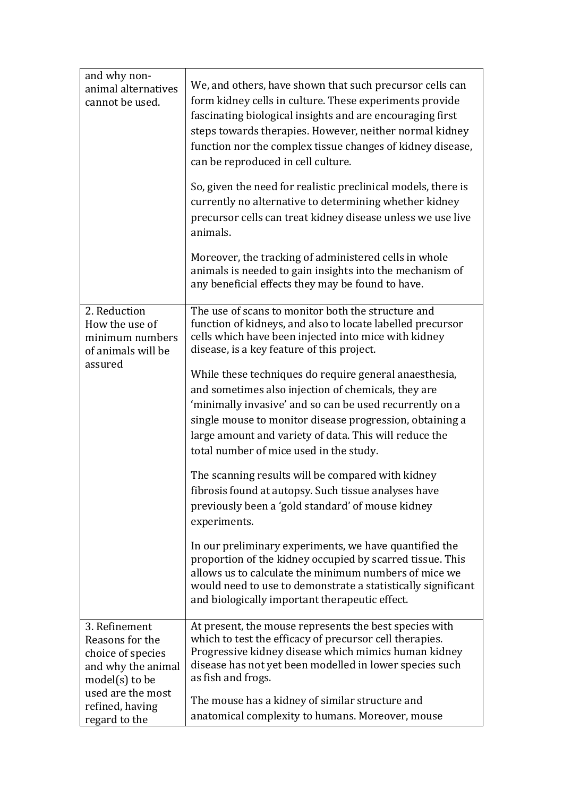| and why non-<br>animal alternatives<br>cannot be used.                                                                                                   | We, and others, have shown that such precursor cells can<br>form kidney cells in culture. These experiments provide<br>fascinating biological insights and are encouraging first<br>steps towards therapies. However, neither normal kidney<br>function nor the complex tissue changes of kidney disease,<br>can be reproduced in cell culture.<br>So, given the need for realistic preclinical models, there is<br>currently no alternative to determining whether kidney<br>precursor cells can treat kidney disease unless we use live<br>animals.<br>Moreover, the tracking of administered cells in whole<br>animals is needed to gain insights into the mechanism of<br>any beneficial effects they may be found to have.                                                                                                                                                                                                                                                                                                                          |
|----------------------------------------------------------------------------------------------------------------------------------------------------------|----------------------------------------------------------------------------------------------------------------------------------------------------------------------------------------------------------------------------------------------------------------------------------------------------------------------------------------------------------------------------------------------------------------------------------------------------------------------------------------------------------------------------------------------------------------------------------------------------------------------------------------------------------------------------------------------------------------------------------------------------------------------------------------------------------------------------------------------------------------------------------------------------------------------------------------------------------------------------------------------------------------------------------------------------------|
| 2. Reduction<br>How the use of<br>minimum numbers<br>of animals will be<br>assured                                                                       | The use of scans to monitor both the structure and<br>function of kidneys, and also to locate labelled precursor<br>cells which have been injected into mice with kidney<br>disease, is a key feature of this project.<br>While these techniques do require general anaesthesia,<br>and sometimes also injection of chemicals, they are<br>'minimally invasive' and so can be used recurrently on a<br>single mouse to monitor disease progression, obtaining a<br>large amount and variety of data. This will reduce the<br>total number of mice used in the study.<br>The scanning results will be compared with kidney<br>fibrosis found at autopsy. Such tissue analyses have<br>previously been a 'gold standard' of mouse kidney<br>experiments.<br>In our preliminary experiments, we have quantified the<br>proportion of the kidney occupied by scarred tissue. This<br>allows us to calculate the minimum numbers of mice we<br>would need to use to demonstrate a statistically significant<br>and biologically important therapeutic effect. |
| 3. Refinement<br>Reasons for the<br>choice of species<br>and why the animal<br>$model(s)$ to be<br>used are the most<br>refined, having<br>regard to the | At present, the mouse represents the best species with<br>which to test the efficacy of precursor cell therapies.<br>Progressive kidney disease which mimics human kidney<br>disease has not yet been modelled in lower species such<br>as fish and frogs.<br>The mouse has a kidney of similar structure and<br>anatomical complexity to humans. Moreover, mouse                                                                                                                                                                                                                                                                                                                                                                                                                                                                                                                                                                                                                                                                                        |